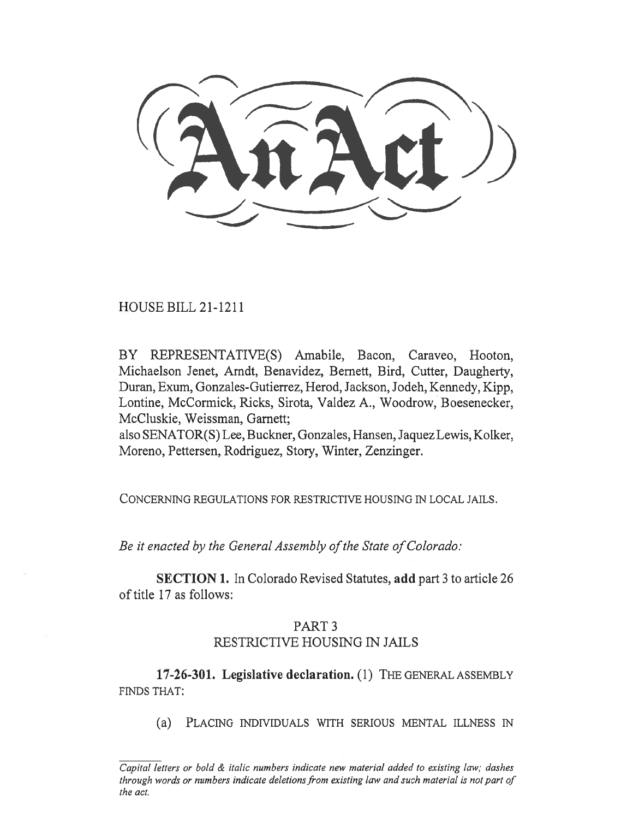HOUSE BILL 21-1211

BY REPRESENTATIVE(S) Amabile, Bacon, Caraveo, Hooton, Michaelson Jenet, Arndt, Benavidez, Bernett, Bird, Cutter, Daugherty, Duran, Exum, Gonzales-Gutierrez, Herod, Jackson, Jodeh, Kennedy, Kipp, Lontine, McCormick, Ricks, Sirota, Valdez A., Woodrow, Boesenecker, McCluskie, Weissman, Garnett;

also SENATOR(S) Lee, Buckner, Gonzales, Hansen, Jaquez Lewis, Kolker, Moreno, Pettersen, Rodriguez, Story, Winter, Zenzinger.

CONCERNING REGULATIONS FOR RESTRICTIVE HOUSING IN LOCAL JAILS.

Be it enacted by the General Assembly of the State of Colorado:

SECTION 1. In Colorado Revised Statutes, add part 3 to article 26 of title 17 as follows:

## PART 3 RESTRICTIVE HOUSING IN JAILS

17-26-301. Legislative declaration. (1) THE GENERAL ASSEMBLY FINDS THAT:

(a) PLACING INDIVIDUALS WITH SERIOUS MENTAL ILLNESS IN

Capital letters or bold & italic numbers indicate new material added to existing law; dashes through words or numbers indicate deletions from existing law and such material is not part of the act.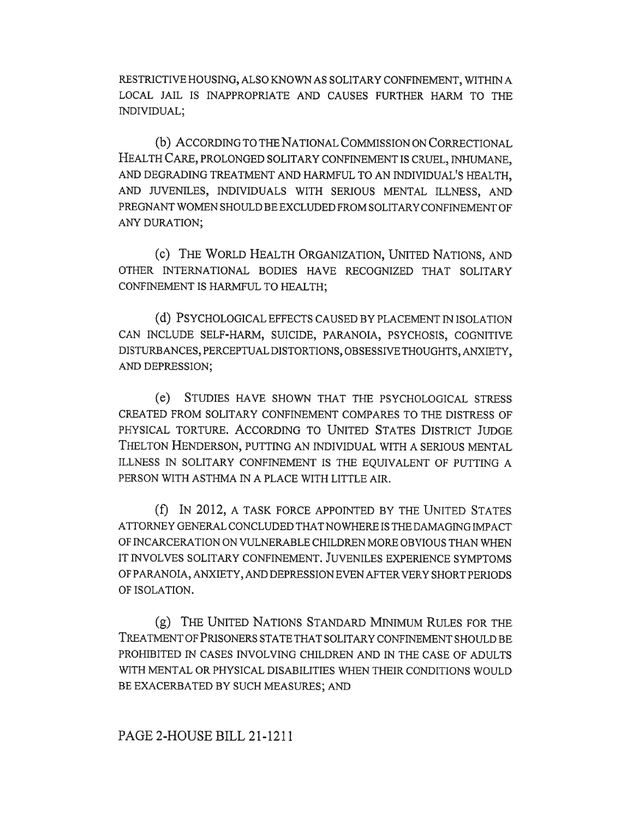RESTRICTIVE HOUSING, ALSO KNOWN AS SOLITARY CONFINEMENT, WITHIN A LOCAL JAIL IS INAPPROPRIATE AND CAUSES FURTHER HARM TO THE INDIVIDUAL;

(b) ACCORDING TO THE NATIONAL COMMISSION ON CORRECTIONAL HEALTH CARE, PROLONGED SOLITARY CONFINEMENT IS CRUEL, INHUMANE, AND DEGRADING TREATMENT AND HARMFUL TO AN INDIVIDUAL'S HEALTH, AND JUVENILES, INDIVIDUALS WITH SERIOUS MENTAL ILLNESS, AND PREGNANT WOMEN SHOULD BE EXCLUDED FROM SOLITARY CONFINEMENT OF ANY DURATION;

(c) THE WORLD HEALTH ORGANIZATION, UNITED NATIONS, AND OTHER INTERNATIONAL BODIES HAVE RECOGNIZED THAT SOLITARY CONFINEMENT IS HARMFUL TO HEALTH;

(d) PSYCHOLOGICAL EFFECTS CAUSED BY PLACEMENT IN ISOLATION CAN INCLUDE SELF-HARM, SUICIDE, PARANOIA, PSYCHOSIS, COGNITIVE DISTURBANCES, PERCEPTUAL DISTORTIONS, OBSESSIVE THOUGHTS, ANXIETY, AND DEPRESSION;

(e) STUDIES HAVE SHOWN THAT THE PSYCHOLOGICAL STRESS CREATED FROM SOLITARY CONFINEMENT COMPARES TO THE DISTRESS OF PHYSICAL TORTURE. ACCORDING TO UNITED STATES DISTRICT JUDGE THELTON HENDERSON, PUTTING AN INDIVIDUAL WITH A SERIOUS MENTAL ILLNESS IN SOLITARY CONFINEMENT IS THE EQUIVALENT OF PUTTING A PERSON WITH ASTHMA IN A PLACE WITH LITTLE AIR.

(f) IN 2012, A TASK FORCE APPOINTED BY THE UNITED STATES ATTORNEY GENERAL CONCLUDED THAT NOWHERE IS THE DAMAGING IMPACT OF INCARCERATION ON VULNERABLE CHILDREN MORE OBVIOUS THAN WHEN IT INVOLVES SOLITARY CONFINEMENT. JUVENILES EXPERIENCE SYMPTOMS OF PARANOIA, ANXIETY, AND DEPRESSION EVEN AFTER VERY SHORT PERIODS OF ISOLATION.

(g) THE UNITED NATIONS STANDARD MINIMUM RULES FOR THE TREATMENT OF PRISONERS STATE THAT SOLITARY CONFINEMENT SHOULD BE PROHIBITED IN CASES INVOLVING CHILDREN AND IN THE CASE OF ADULTS WITH MENTAL OR PHYSICAL DISABILITIES WHEN THEIR CONDITIONS WOULD BE EXACERBATED BY SUCH MEASURES; AND

## PAGE 2-HOUSE BILL 21-1211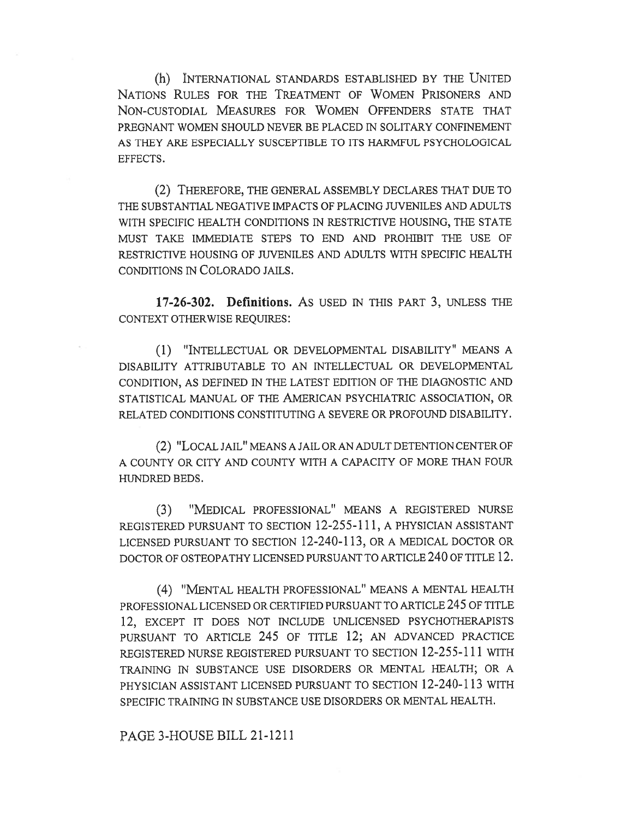(h) INTERNATIONAL STANDARDS ESTABLISHED BY THE UNITED NATIONS RULES FOR THE TREATMENT OF WOMEN PRISONERS AND NON-CUSTODIAL MEASURES FOR WOMEN OFFENDERS STATE THAT PREGNANT WOMEN SHOULD NEVER BE PLACED IN SOLITARY CONFINEMENT AS THEY ARE ESPECIALLY SUSCEPTIBLE TO ITS HARMFUL PSYCHOLOGICAL EFFECTS.

(2) THEREFORE, THE GENERAL ASSEMBLY DECLARES THAT DUE TO THE SUBSTANTIAL NEGATIVE IMPACTS OF PLACING JUVENILES AND ADULTS WITH SPECIFIC HEALTH CONDITIONS IN RESTRICTIVE HOUSING, THE STATE MUST TAKE IMMEDIATE STEPS TO END AND PROHIBIT THE USE OF RESTRICTIVE HOUSING OF JUVENILES AND ADULTS WITH SPECIFIC HEALTH CONDITIONS IN COLORADO JAILS.

17-26-302. Definitions. As USED IN THIS PART 3, UNLESS THE CONTEXT OTHERWISE REQUIRES:

(1) "INTELLECTUAL OR DEVELOPMENTAL DISABILITY" MEANS A DISABILITY ATTRIBUTABLE TO AN INTELLECTUAL OR DEVELOPMENTAL CONDITION, AS DEFINED IN THE LATEST EDITION OF THE DIAGNOSTIC AND STATISTICAL MANUAL OF THE AMERICAN PSYCHIATRIC ASSOCIATION, OR RELATED CONDITIONS CONSTITUTING A SEVERE OR PROFOUND DISABILITY.

(2) "LOCAL JAIL" MEANS A JAIL OR AN ADULT DETENTION CENTER OF A COUNTY OR CITY AND COUNTY WITH A CAPACITY OF MORE THAN FOUR HUNDRED BEDS.

(3) "MEDICAL PROFESSIONAL" MEANS A REGISTERED NURSE REGISTERED PURSUANT TO SECTION 12-255-111, A PHYSICIAN ASSISTANT LICENSED PURSUANT TO SECTION 12-240-113, OR A MEDICAL DOCTOR OR DOCTOR OF OSTEOPATHY LICENSED PURSUANT TO ARTICLE 240 OF TITLE 12.

(4) "MENTAL HEALTH PROFESSIONAL" MEANS A MENTAL HEALTH PROFESSIONAL LICENSED OR CERTIFIED PURSUANT TO ARTICLE 245 OF TITLE 12, EXCEPT IT DOES NOT INCLUDE UNLICENSED PSYCHOTHERAPISTS PURSUANT TO ARTICLE 245 OF TITLE 12; AN ADVANCED PRACTICE REGISTERED NURSE REGISTERED PURSUANT TO SECTION 12-255-111 WITH TRAINING IN SUBSTANCE USE DISORDERS OR MENTAL HEALTH; OR A PHYSICIAN ASSISTANT LICENSED PURSUANT TO SECTION 12-240-113 WITH SPECIFIC TRAINING IN SUBSTANCE USE DISORDERS OR MENTAL HEALTH.

PAGE 3-HOUSE BILL 21-1211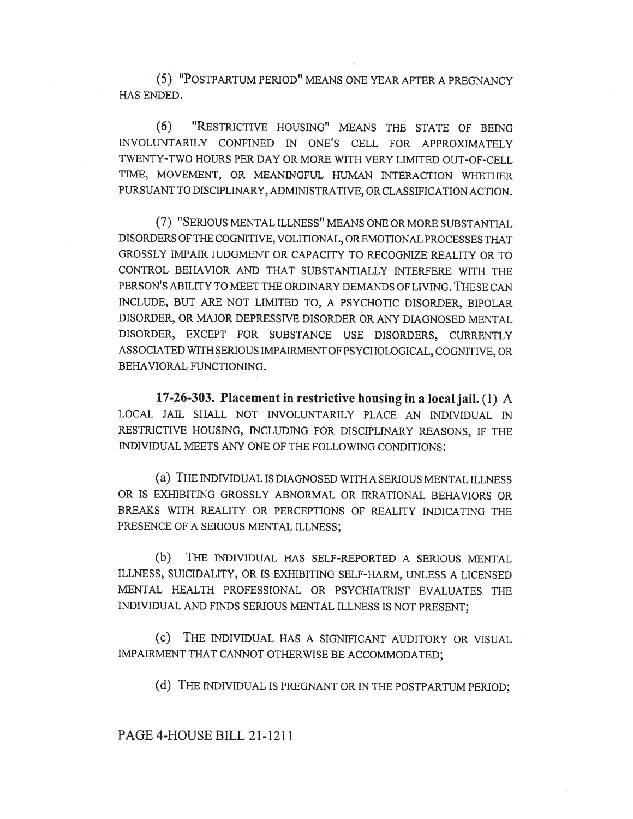(5) 'POSTPARTUM PERIOD" MEANS ONE YEAR AFTER A PREGNANCY HAS ENDED.

(6) "RESTRICTIVE HOUSING" MEANS THE STATE OF BEING INVOLUNTARILY CONFINED IN ONE'S CELL FOR APPROXIMATELY TWENTY-TWO HOURS PER DAY OR MORE WITH VERY LIMITED OUT-OF-CELL TIME, MOVEMENT, OR MEANINGFUL HUMAN INTERACTION WHETHER PURSUANT TO DISCIPLINARY, ADMINISTRATIVE, OR CLASSIFICATION ACTION.

(7) "SERIOUS MENTAL ILLNESS" MEANS ONE OR MORE SUBSTANTIAL DISORDERS OF THE COGNITIVE, VOLITIONAL, OR EMOTIONAL PROCESSES THAT GROSSLY IMPAIR JUDGMENT OR CAPACITY TO RECOGNIZE REALITY OR TO CONTROL BEHAVIOR AND THAT SUBSTANTIALLY INTERFERE WITH THE PERSON'S ABILITY TO MEET THE ORDINARY DEMANDS OF LIVING. THESE CAN INCLUDE, BUT ARE NOT LIMITED TO, A PSYCHOTIC DISORDER, BIPOLAR DISORDER, OR MAJOR DEPRESSIVE DISORDER OR ANY DIAGNOSED MENTAL DISORDER, EXCEPT FOR SUBSTANCE USE DISORDERS, CURRENTLY ASSOCIATED WITH SERIOUS IMPAIRMENT OF PSYCHOLOGICAL, COGNITIVE, OR BEHAVIORAL FUNCTIONING.

17-26-303. Placement in restrictive housing in a local jail. (1) A LOCAL JAIL SHALL NOT INVOLUNTARILY PLACE AN INDIVIDUAL IN RESTRICTIVE HOUSING, INCLUDING FOR DISCIPLINARY REASONS, IF THE INDIVIDUAL MEETS ANY ONE OF THE FOLLOWING CONDITIONS:

(a) THE INDIVIDUAL IS DIAGNOSED WITH A SERIOUS MENTAL ILLNESS OR IS EXHIBITING GROSSLY ABNORMAL OR IRRATIONAL BEHAVIORS OR BREAKS WITH REALITY OR PERCEPTIONS OF REALITY INDICATING THE PRESENCE OF A SERIOUS MENTAL ILLNESS;

(b) THE INDIVIDUAL HAS SELF-REPORTED A SERIOUS MENTAL ILLNESS, SUICIDALITY, OR IS EXHIBITING SELF-HARM, UNLESS A LICENSED MENTAL HEALTH PROFESSIONAL OR PSYCHIATRIST EVALUATES THE INDIVIDUAL AND FINDS SERIOUS MENTAL ILLNESS IS NOT PRESENT;

(c) THE INDIVIDUAL HAS A SIGNIFICANT AUDITORY OR VISUAL IMPAIRMENT THAT CANNOT OTHERWISE BE ACCOMMODATED;

(d) THE INDIVIDUAL IS PREGNANT OR IN THE POSTPARTUM PERIOD;

PAGE 4-HOUSE BILL 21-1211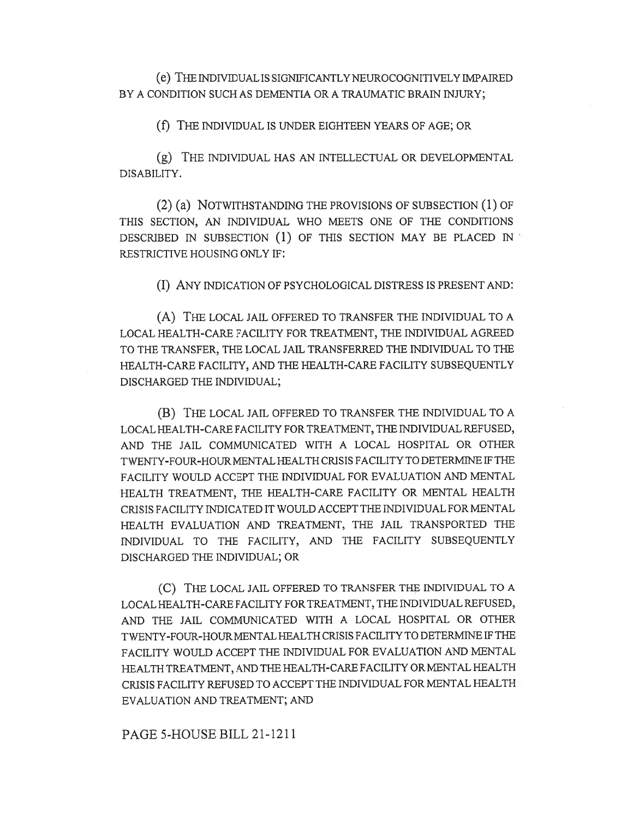(e) THE INDIVIDUAL IS SIGNIFICANTLY NEUROCOGNITIVELY IMPAIRED BY A CONDITION SUCH AS DEMENTIA OR A TRAUMATIC BRAIN INJURY;

(f) THE INDIVIDUAL IS UNDER EIGHTEEN YEARS OF AGE; OR

(g) THE INDIVIDUAL HAS AN INTELLECTUAL OR DEVELOPMENTAL DISABILITY.

(2) (a) NOTWITHSTANDING THE PROVISIONS OF SUBSECTION (1) OF THIS SECTION, AN INDIVIDUAL WHO MEETS ONE OF THE CONDITIONS DESCRIBED IN SUBSECTION (1) OF THIS SECTION MAY BE PLACED IN RESTRICTIVE HOUSING ONLY IF:

(I) ANY INDICATION OF PSYCHOLOGICAL DISTRESS IS PRESENT AND:

(A) THE LOCAL JAIL OFFERED TO TRANSFER THE INDIVIDUAL TO A LOCAL HEALTH-CARE FACILITY FOR TREATMENT, THE INDIVIDUAL AGREED TO THE TRANSFER, THE LOCAL JAIL TRANSFERRED THE INDIVIDUAL TO THE HEALTH-CARE FACILITY, AND THE HEALTH-CARE FACILITY SUBSEQUENTLY DISCHARGED THE INDIVIDUAL;

(B) THE LOCAL JAIL OFFERED TO TRANSFER THE INDIVIDUAL TO A LOCAL HEALTH-CARE FACILITY FOR TREATMENT, THE INDIVIDUAL REFUSED, AND THE JAIL COMMUNICATED WITH A LOCAL HOSPITAL OR OTHER TWENTY-FOUR-HOUR MENTAL HEALTH CRISIS FACILITY TO DETERMINE IF THE FACILITY WOULD ACCEPT THE INDIVIDUAL FOR EVALUATION AND MENTAL HEALTH TREATMENT, THE HEALTH-CARE FACILITY OR MENTAL HEALTH CRISIS FACILITY INDICATED IT WOULD ACCEPT THE INDIVIDUAL FOR MENTAL HEALTH EVALUATION AND TREATMENT, THE JAIL TRANSPORTED THE INDIVIDUAL TO THE FACILITY, AND THE FACILITY SUBSEQUENTLY DISCHARGED THE INDIVIDUAL; OR

(C) THE LOCAL JAIL OFFERED TO TRANSFER THE INDIVIDUAL TO A LOCAL HEALTH-CARE FACILITY FOR TREATMENT, THE INDIVIDUAL REFUSED, AND THE JAIL COMMUNICATED WITH A LOCAL HOSPITAL OR OTHER TWENTY-FOUR-HOUR MENTAL HEALTH CRISIS FACILITY TO DETERMINE IF THE FACILITY WOULD ACCEPT THE INDIVIDUAL FOR EVALUATION AND MENTAL HEALTH TREATMENT, AND THE HEALTH-CARE FACILITY OR MENTAL HEALTH CRISIS FACILITY REFUSED TO ACCEPT THE INDIVIDUAL FOR MENTAL HEALTH EVALUATION AND TREATMENT; AND

PAGE 5-HOUSE BILL 21-1211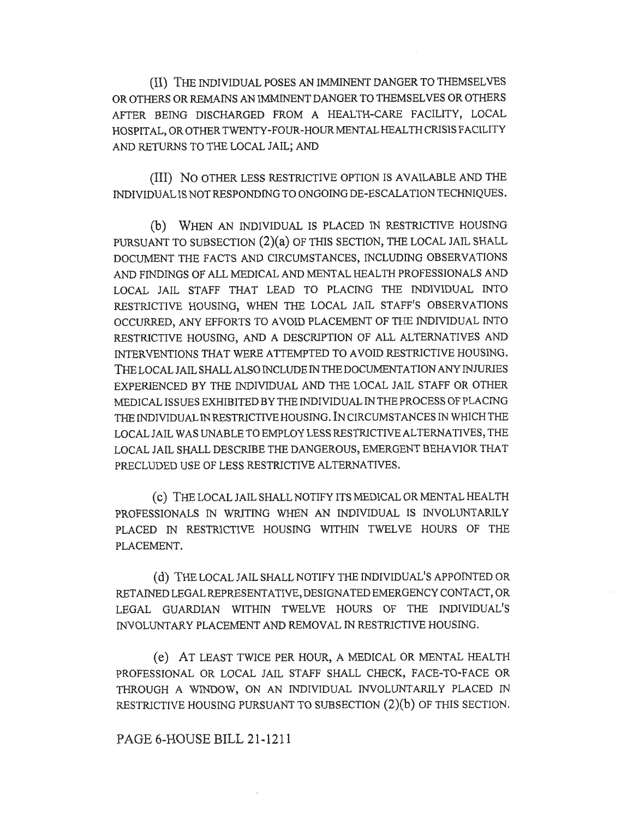(II) THE INDIVIDUAL POSES AN IMMINENT DANGER TO THEMSELVES OR OTHERS OR REMAINS AN IMMINENT DANGER TO THEMSELVES OR OTHERS AFTER BEING DISCHARGED FROM A HEALTH-CARE FACILITY, LOCAL HOSPITAL, OR OTHER TWENTY-FOUR-HOUR MENTAL HEALTH CRISIS FACILITY AND RETURNS TO THE LOCAL JAIL; AND

(III) No OTHER LESS RESTRICTIVE OPTION IS AVAILABLE AND THE INDIVIDUAL IS NOT RESPONDING TO ONGOING DE-ESCALATION TECHNIQUES.

(b) WHEN AN INDIVIDUAL IS PLACED IN RESTRICTIVE HOUSING PURSUANT TO SUBSECTION (2)(a) OF THIS SECTION, THE LOCAL JAIL SHALL DOCUMENT THE FACTS AND CIRCUMSTANCES, INCLUDING OBSERVATIONS AND FINDINGS OF ALL MEDICAL AND MENTAL HEALTH PROFESSIONALS AND LOCAL JAIL STAFF THAT LEAD TO PLACING THE INDIVIDUAL INTO RESTRICTIVE HOUSING, WHEN THE LOCAL JAIL STAFF'S OBSERVATIONS OCCURRED, ANY EFFORTS TO AVOID PLACEMENT OF THE INDIVIDUAL INTO RESTRICTIVE HOUSING, AND A DESCRIPTION OF ALL ALTERNATIVES AND INTERVENTIONS THAT WERE ATTEMPTED TO AVOID RESTRICTIVE HOUSING. THE LOCAL JAIL SHALL ALSO INCLUDE IN THE DOCUMENTATION ANY INJURIES EXPERIENCED BY THE INDIVIDUAL AND THE LOCAL JAIL STAFF OR OTHER MEDICAL ISSUES EXHIBITED BY THE INDIVIDUAL IN THE PROCESS OF PLACING THE INDIVIDUAL IN RESTRICTIVE HOUSING. IN CIRCUMSTANCES IN WHICH THE LOCAL JAIL WAS UNABLE TO EMPLOY LESS RESTRICTIVE ALTERNATIVES, THE LOCAL JAIL SHALL DESCRIBE THE DANGEROUS, EMERGENT BEHAVIOR THAT PRECLUDED USE OF LESS RESTRICTIVE ALTERNATIVES.

(C) THE LOCAL JAIL SHALL NOTIFY ITS MEDICAL OR MENTAL HEALTH PROFESSIONALS IN WRITING WHEN AN INDIVIDUAL IS INVOLUNTARILY PLACED IN RESTRICTIVE HOUSING WITHIN TWELVE HOURS OF THE PLACEMENT.

(d) THE LOCAL JAIL SHALL NOTIFY THE INDIVIDUAL'S APPOINTED OR RETAINED LEGAL REPRESENTATIVE, DESIGNATED EMERGENCY CONTACT, OR LEGAL GUARDIAN WITHIN TWELVE HOURS OF THE INDIVIDUAL'S INVOLUNTARY PLACEMENT AND REMOVAL IN RESTRICTIVE HOUSING.

(e) AT LEAST TWICE PER HOUR, A MEDICAL OR MENTAL HEALTH PROFESSIONAL OR LOCAL JAIL STAFF SHALL CHECK, FACE-TO-FACE OR THROUGH A WINDOW, ON AN INDIVIDUAL INVOLUNTARILY PLACED IN RESTRICTIVE HOUSING PURSUANT TO SUBSECTION (2)(b) OF THIS SECTION.

## PAGE 6-HOUSE BILL 21-1211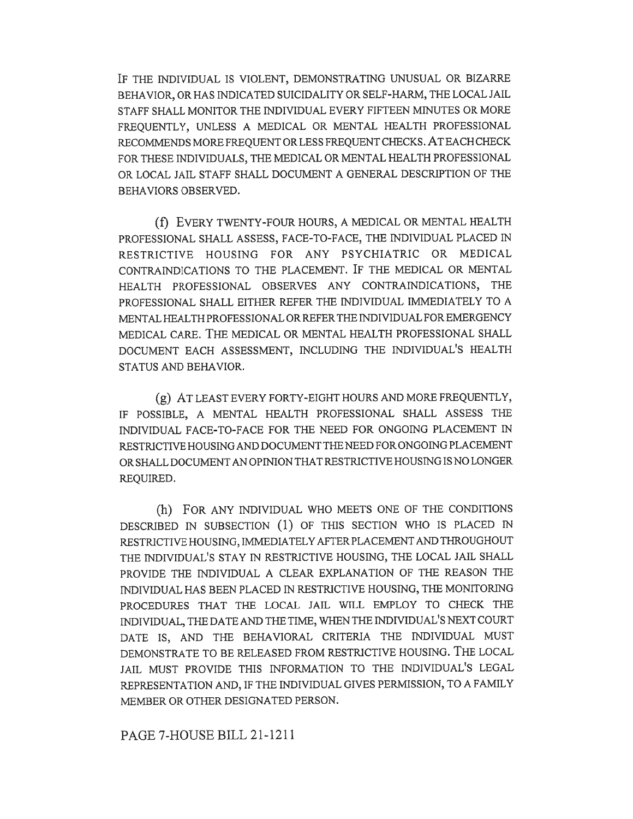IF THE INDIVIDUAL IS VIOLENT, DEMONSTRATING UNUSUAL OR BIZARRE BEHAVIOR, OR HAS INDICATED SUICIDALITY OR SELF-HARM, THE LOCAL JAIL STAFF SHALL MONITOR THE INDIVIDUAL EVERY FIFTEEN MINUTES OR MORE FREQUENTLY, UNLESS A MEDICAL OR MENTAL HEALTH PROFESSIONAL RECOMMENDS MORE FREQUENT OR LESS FREQUENT CHECKS. AT EACH CHECK FOR THESE INDIVIDUALS, THE MEDICAL OR MENTAL HEALTH PROFESSIONAL OR LOCAL JAIL STAFF SHALL DOCUMENT A GENERAL DESCRIPTION OF THE BEHAVIORS OBSERVED.

(f) EVERY TWENTY-FOUR HOURS, A MEDICAL OR MENTAL HEALTH PROFESSIONAL SHALL ASSESS, FACE-TO-FACE, THE INDIVIDUAL PLACED IN RESTRICTIVE HOUSING FOR ANY PSYCHIATRIC OR MEDICAL CONTRAINDICATIONS TO THE PLACEMENT. IF THE MEDICAL OR MENTAL HEALTH PROFESSIONAL OBSERVES ANY CONTRAINDICATIONS, THE PROFESSIONAL SHALL EITHER REFER THE INDIVIDUAL IMMEDIATELY TO A MENTAL HEALTH PROFESSIONAL OR REFER THE INDIVIDUAL FOR EMERGENCY MEDICAL CARE. THE MEDICAL OR MENTAL HEALTH PROFESSIONAL SHALL DOCUMENT EACH ASSESSMENT, INCLUDING THE INDIVIDUAL'S HEALTH STATUS AND BEHAVIOR.

(g) AT LEAST EVERY FORTY-EIGHT HOURS AND MORE FREQUENTLY, IF POSSIBLE, A MENTAL HEALTH PROFESSIONAL SHALL ASSESS THE INDIVIDUAL FACE-TO-FACE FOR THE NEED FOR ONGOING PLACEMENT IN RESTRICTIVE HOUSING AND DOCUMENT THE NEED FOR ONGOING PLACEMENT OR SHALL DOCUMENT AN OPINION THAT RESTRICTIVE HOUSING IS NO LONGER REQUIRED.

(h) FOR ANY INDIVIDUAL WHO MEETS ONE OF THE CONDITIONS DESCRIBED IN SUBSECTION (1) OF THIS SECTION WHO IS PLACED IN RESTRICTIVE HOUSING, IMMEDIATELY AFTER PLACEMENT AND THROUGHOUT THE INDIVIDUAL'S STAY IN RESTRICTIVE HOUSING, THE LOCAL JAIL SHALL PROVIDE THE INDIVIDUAL A CLEAR EXPLANATION OF THE REASON THE INDIVIDUAL HAS BEEN PLACED IN RESTRICTIVE HOUSING, THE MONITORING PROCEDURES THAT THE LOCAL JAIL WILL EMPLOY TO CHECK THE INDIVIDUAL, THE DATE AND THE TIME, WHEN THE INDIVIDUAL'S NEXT COURT DATE IS, AND THE BEHAVIORAL CRITERIA THE INDIVIDUAL MUST DEMONSTRATE TO BE RELEASED FROM RESTRICTIVE HOUSING. THE LOCAL JAIL MUST PROVIDE THIS INFORMATION TO THE INDIVIDUAL'S LEGAL REPRESENTATION AND, IF THE INDIVIDUAL GIVES PERMISSION, TO A FAMILY MEMBER OR OTHER DESIGNATED PERSON.

PAGE 7-HOUSE BILL 21-1211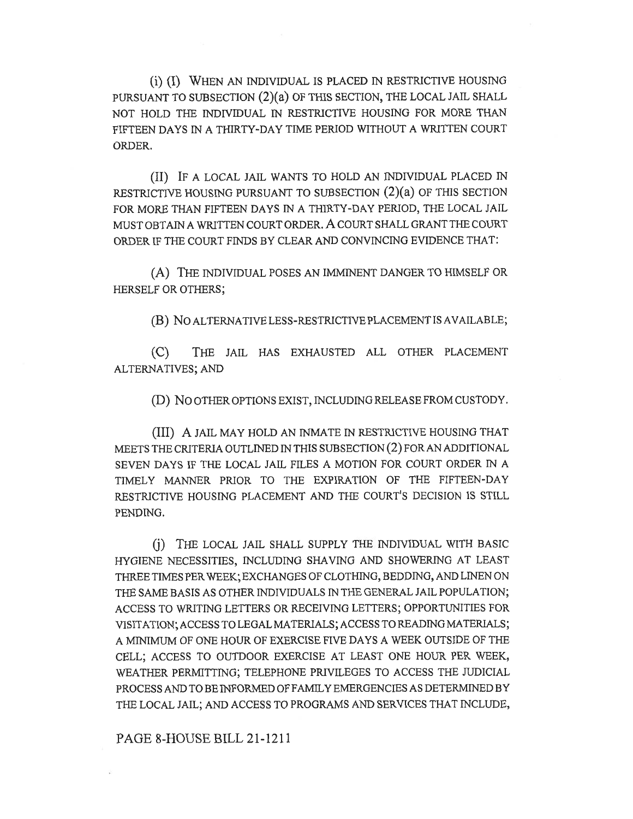(i) (I) WHEN AN INDIVIDUAL IS PLACED IN RESTRICTIVE HOUSING PURSUANT TO SUBSECTION (2)(a) OF THIS SECTION, THE LOCAL JAIL SHALL NOT HOLD THE INDIVIDUAL IN RESTRICTIVE HOUSING FOR MORE THAN FIFTEEN DAYS IN A THIRTY-DAY TIME PERIOD WITHOUT A WRITTEN COURT ORDER.

(II) IF A LOCAL JAIL WANTS TO HOLD AN INDIVIDUAL PLACED IN RESTRICTIVE HOUSING PURSUANT TO SUBSECTION (2)(a) OF THIS SECTION FOR MORE THAN FIFTEEN DAYS IN A THIRTY-DAY PERIOD, THE LOCAL JAIL MUST OBTAIN A WRITTEN COURT ORDER. A COURT SHALL GRANT THE COURT ORDER IF THE COURT FINDS BY CLEAR AND CONVINCING EVIDENCE THAT:

(A) THE INDIVIDUAL POSES AN IMMINENT DANGER TO HIMSELF OR HERSELF OR OTHERS;

(B) No ALTERNATIVE LESS-RESTRICTIVE PLACEMENT IS AVAILABLE;

(C) THE JAIL HAS EXHAUSTED ALL OTHER PLACEMENT ALTERNATIVES; AND

(D) No OTHER OPTIONS EXIST, INCLUDING RELEASE FROM CUSTODY.

(III) A JAIL MAY HOLD AN INMATE IN RESTRICTIVE HOUSING THAT MEETS THE CRITERIA OUTLINED IN THIS SUBSECTION (2) FOR AN ADDITIONAL SEVEN DAYS IF THE LOCAL JAIL FILES A MOTION FOR COURT ORDER IN A TIMELY MANNER PRIOR TO THE EXPIRATION OF THE FIFTEEN-DAY RESTRICTIVE HOUSING PLACEMENT AND THE COURT'S DECISION IS STILL PENDING.

(j) THE LOCAL JAIL SHALL SUPPLY THE INDIVIDUAL WITH BASIC HYGIENE NECESSITIES, INCLUDING SHAVING AND SHOWERING AT LEAST THREE TIMES PER WEEK; EXCHANGES OF CLOTHING, BEDDING, AND LINEN ON THE SAME BASIS AS OTHER INDIVIDUALS IN THE GENERAL JAIL POPULATION; ACCESS TO WRITING LETTERS OR RECEIVING LETTERS; OPPORTUNITIES FOR VISITATION; ACCESS TO LEGAL MATERIALS; ACCESS TO READING MATERIALS; A MINIMUM OF ONE HOUR OF EXERCISE FIVE DAYS A WEEK OUTSIDE OF THE CELL; ACCESS TO OUTDOOR EXERCISE AT LEAST ONE HOUR PER WEEK, WEATHER PERMITTING; TELEPHONE PRIVILEGES TO ACCESS THE JUDICIAL PROCESS AND TO BE INFORMED OF FAMILY EMERGENCIES AS DETERMINED BY THE LOCAL JAIL; AND ACCESS TO PROGRAMS AND SERVICES THAT INCLUDE,

PAGE 8-HOUSE BILL 21-1211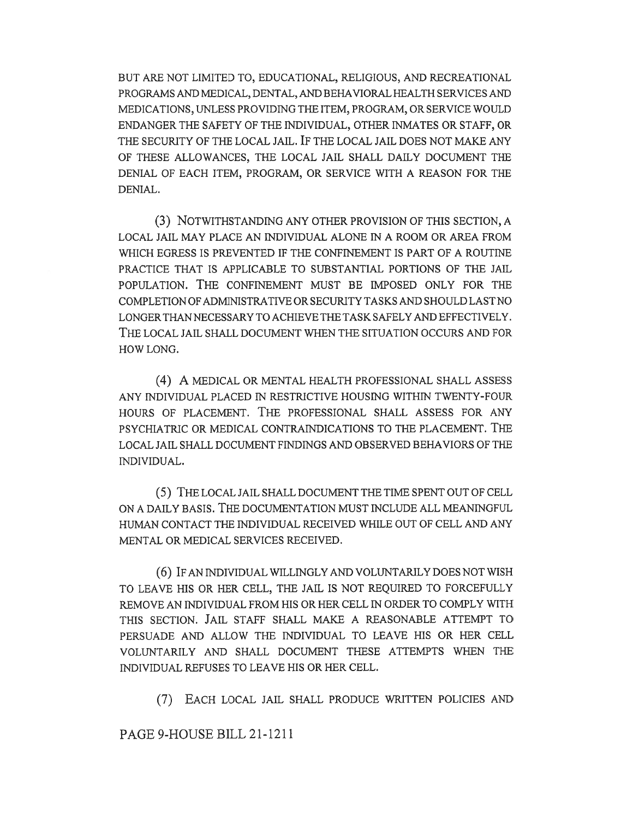BUT ARE NOT LIMITED TO, EDUCATIONAL, RELIGIOUS, AND RECREATIONAL PROGRAMS AND MEDICAL, DENTAL, AND BEHAVIORAL HEALTH SERVICES AND MEDICATIONS, UNLESS PROVIDING THE ITEM, PROGRAM, OR SERVICE WOULD ENDANGER THE SAFETY OF THE INDIVIDUAL, OTHER INMATES OR STAFF, OR THE SECURITY OF THE LOCAL JAIL. IF THE LOCAL JAIL DOES NOT MAKE ANY OF THESE ALLOWANCES, THE LOCAL JAIL SHALL DAILY DOCUMENT THE DENIAL OF EACH ITEM, PROGRAM, OR SERVICE WITH A REASON FOR THE DENIAL.

(3) NOTWITHSTANDING ANY OTHER PROVISION OF THIS SECTION, A LOCAL JAIL MAY PLACE AN INDIVIDUAL ALONE IN A ROOM OR AREA FROM WHICH EGRESS IS PREVENTED IF THE CONFINEMENT IS PART OF A ROUTINE PRACTICE THAT IS APPLICABLE TO SUBSTANTIAL PORTIONS OF THE JAIL POPULATION. THE CONFINEMENT MUST BE IMPOSED ONLY FOR THE COMPLETION OF ADMINISTRATIVE OR SECURITY TASKS AND SHOULD LAST NO LONGER THAN NECESSARY TO ACHIEVE THE TASK SAFELY AND EFFECTIVELY. THE LOCAL JAIL SHALL DOCUMENT WHEN THE SITUATION OCCURS AND FOR HOW LONG.

(4) A MEDICAL OR MENTAL HEALTH PROFESSIONAL SHALL ASSESS ANY INDIVIDUAL PLACED IN RESTRICTIVE HOUSING WITHIN TWENTY-FOUR HOURS OF PLACEMENT. THE PROFESSIONAL SHALL ASSESS FOR ANY PSYCHIATRIC OR MEDICAL CONTRAINDICATIONS TO THE PLACEMENT. THE LOCAL JAIL SHALL DOCUMENT FINDINGS AND OBSERVED BEHAVIORS OF THE INDIVIDUAL.

(5) THE LOCAL JAIL SHALL DOCUMENT THE TIME SPENT OUT OF CELL ON A DAILY BASIS. THE DOCUMENTATION MUST INCLUDE ALL MEANINGFUL HUMAN CONTACT THE INDIVIDUAL RECEIVED WHILE OUT OF CELL AND ANY MENTAL OR MEDICAL SERVICES RECEIVED.

(6) IF AN INDIVIDUAL WILLINGLY AND VOLUNTARILY DOES NOT WISH TO LEAVE HIS OR HER CELL, THE JAIL IS NOT REQUIRED TO FORCEFULLY REMOVE AN INDIVIDUAL FROM HIS OR HER CELL IN ORDER TO COMPLY WITH THIS SECTION. JAIL STAFF SHALL MAKE A REASONABLE ATTEMPT TO PERSUADE AND ALLOW THE INDIVIDUAL TO LEAVE HIS OR HER CELL VOLUNTARILY AND SHALL DOCUMENT THESE ATTEMPTS WHEN THE INDIVIDUAL REFUSES TO LEAVE HIS OR HER CELL.

(7) EACH LOCAL JAIL SHALL PRODUCE WRITTEN POLICIES AND

PAGE 9-HOUSE BILL 21-1211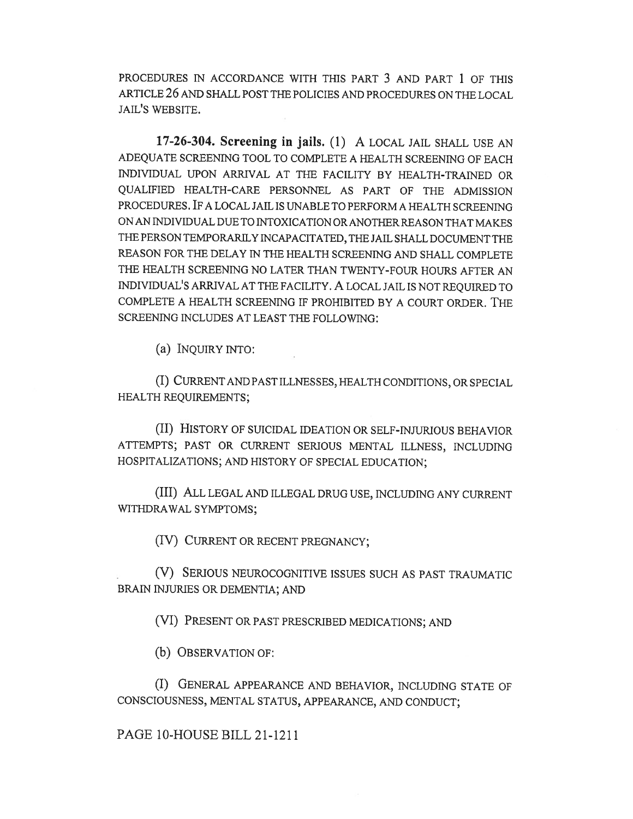PROCEDURES IN ACCORDANCE WITH THIS PART 3 AND PART 1 OF THIS ARTICLE 26 AND SHALL POST THE POLICIES AND PROCEDURES ON THE LOCAL JAIL'S WEBSITE.

17-26-304. Screening in jails. (1) A LOCAL JAIL SHALL USE AN ADEQUATE SCREENING TOOL TO COMPLETE A HEALTH SCREENING OF EACH INDIVIDUAL UPON ARRIVAL AT THE FACILITY BY HEALTH-TRAINED OR QUALIFIED HEALTH-CARE PERSONNEL AS PART OF THE ADMISSION PROCEDURES. IF A LOCAL JAIL IS UNABLE TO PERFORM A HEALTH SCREENING ON AN INDIVIDUAL DUE TO INTOXICATION OR ANOTHER REASON THAT MAKES THE PERSON TEMPORARILY INCAPACITATED, THE JAIL SHALL DOCUMENT THE REASON FOR THE DELAY IN THE HEALTH SCREENING AND SHALL COMPLETE THE HEALTH SCREENING NO LATER THAN TWENTY-FOUR HOURS AFTER AN INDIVIDUAL'S ARRIVAL AT THE FACILITY. A LOCAL JAIL IS NOT REQUIRED TO COMPLETE A HEALTH SCREENING IF PROHIBITED BY A COURT ORDER. THE SCREENING INCLUDES AT LEAST THE FOLLOWING:

(a) INQUIRY INTO:

(I) CURRENT AND PAST ILLNESSES, HEALTH CONDITIONS, OR SPECIAL HEALTH REQUIREMENTS;

(II) HISTORY OF SUICIDAL IDEATION OR SELF-INJURIOUS BEHAVIOR ATTEMPTS; PAST OR CURRENT SERIOUS MENTAL ILLNESS, INCLUDING HOSPITALIZATIONS; AND HISTORY OF SPECIAL EDUCATION;

(III) ALL LEGAL AND ILLEGAL DRUG USE, INCLUDING ANY CURRENT WITHDRAWAL SYMPTOMS;

(IV) CURRENT OR RECENT PREGNANCY;

(V) SERIOUS NEUROCOGNITIVE ISSUES SUCH AS PAST TRAUMATIC BRAIN INJURIES OR DEMENTIA; AND

(VI) PRESENT OR PAST PRESCRIBED MEDICATIONS; AND

(b) OBSERVATION OF:

(I) GENERAL APPEARANCE AND BEHAVIOR, INCLUDING STATE OF CONSCIOUSNESS, MENTAL STATUS, APPEARANCE, AND CONDUCT;

PAGE 10-HOUSE BILL 21-1211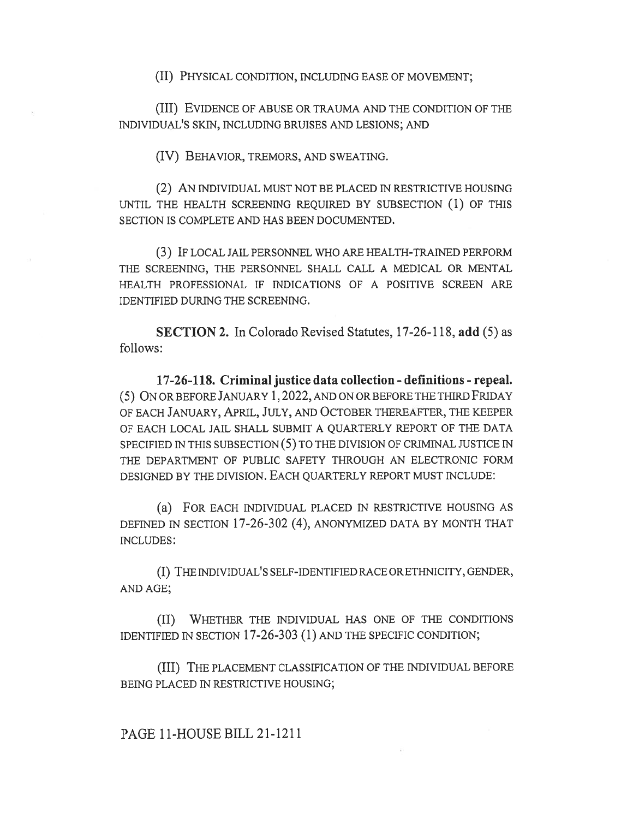(II) PHYSICAL CONDITION, INCLUDING EASE OF MOVEMENT;

(III) EVIDENCE OF ABUSE OR TRAUMA AND THE CONDITION OF THE INDIVIDUAL'S SKIN, INCLUDING BRUISES AND LESIONS; AND

(IV) BEHAVIOR, TREMORS, AND SWEATING.

(2) AN INDIVIDUAL MUST NOT BE PLACED IN RESTRICTIVE HOUSING UNTIL THE HEALTH SCREENING REQUIRED BY SUBSECTION (1) OF THIS SECTION IS COMPLETE AND HAS BEEN DOCUMENTED.

(3) IF LOCAL JAIL PERSONNEL WHO ARE HEALTH-TRAINED PERFORM THE SCREENING, THE PERSONNEL SHALL CALL A MEDICAL OR MENTAL HEALTH PROFESSIONAL IF INDICATIONS OF A POSITIVE SCREEN ARE IDENTIFIED DURING THE SCREENING.

SECTION 2. In Colorado Revised Statutes, 17-26-118, add (5) as follows:

17-26-118. Criminal justice data collection - definitions - repeal. (5) ON OR BEFORE JANUARY 1, 2022, AND ON OR BEFORE THE THIRD FRIDAY OF EACH JANUARY, APRIL, JULY, AND OCTOBER THEREAFTER, THE KEEPER OF EACH LOCAL JAIL SHALL SUBMIT A QUARTERLY REPORT OF THE DATA SPECIFIED IN THIS SUBSECTION (5) TO THE DIVISION OF CRIMINAL JUSTICE IN THE DEPARTMENT OF PUBLIC SAFETY THROUGH AN ELECTRONIC FORM DESIGNED BY THE DIVISION. EACH QUARTERLY REPORT MUST INCLUDE:

(a) FOR EACH INDIVIDUAL PLACED IN RESTRICTIVE HOUSING AS DEFINED IN SECTION 17-26-302 (4), ANONYMIZED DATA BY MONTH THAT INCLUDES:

(I) THE INDIVIDUAL'S SELF-IDENTIFIED RACE OR ETHNICITY, GENDER, AND AGE;

(II) WHETHER THE INDIVIDUAL HAS ONE OF THE CONDITIONS IDENTIFIED IN SECTION 17-26-303 (1) AND THE SPECIFIC CONDITION;

(III) THE PLACEMENT CLASSIFICATION OF THE INDIVIDUAL BEFORE BEING PLACED IN RESTRICTIVE HOUSING;

PAGE 11-HOUSE BILL 21-1211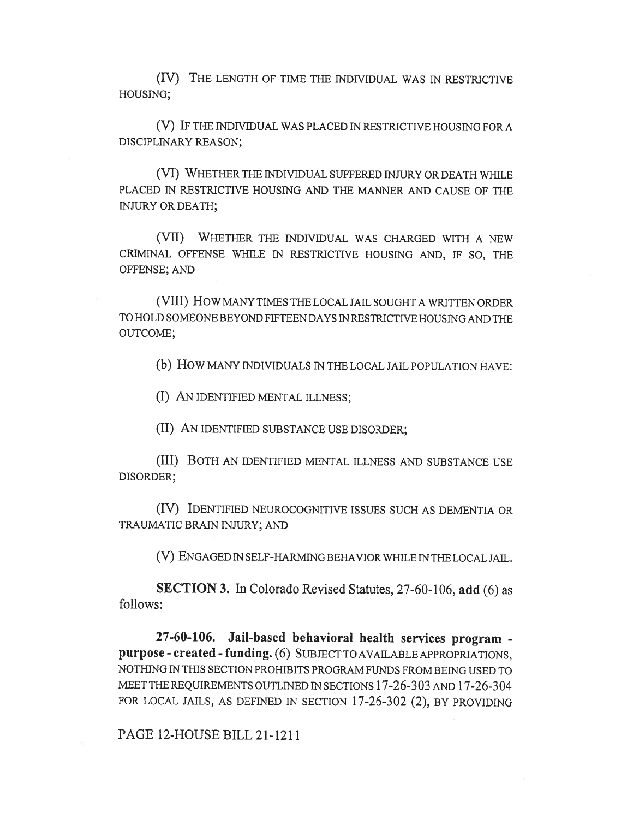(IV) THE LENGTH OF TIME THE INDIVIDUAL WAS IN RESTRICTIVE HOUSING;

(V) IF THE INDIVIDUAL WAS PLACED IN RESTRICTIVE HOUSING FOR A DISCIPLINARY REASON;

(VI) WHETHER THE INDIVIDUAL SUFFERED INJURY OR DEATH WHILE PLACED IN RESTRICTIVE HOUSING AND THE MANNER AND CAUSE OF THE INJURY OR DEATH;

(VII) WHETHER THE INDIVIDUAL WAS CHARGED WITH A NEW CRIMINAL OFFENSE WHILE IN RESTRICTIVE HOUSING AND, IF SO, THE OFFENSE; AND

(VIII) How MANY TIMES THE LOCAL JAIL SOUGHT A WRITTEN ORDER TO HOLD SOMEONE BEYOND FIFTEEN DAYS IN RESTRICTIVE HOUSING AND THE OUTCOME;

(b) How MANY INDIVIDUALS IN THE LOCAL JAIL POPULATION HAVE:

(I) AN IDENTIFIED MENTAL ILLNESS;

(II) AN IDENTIFIED SUBSTANCE USE DISORDER;

(III) BOTH AN IDENTIFIED MENTAL ILLNESS AND SUBSTANCE USE DISORDER;

(IV) IDENTIFIED NEUROCOGNITIVE ISSUES SUCH AS DEMENTIA OR TRAUMATIC BRAIN INJURY; AND

(V) ENGAGED IN SELF-HARMING BEHAVIOR WHILE IN THE LOCAL JAIL.

SECTION 3. In Colorado Revised Statutes, 27-60-106, add (6) as follows:

27-60-106. Jail-based behavioral health services program purpose - created - funding. (6) SUBJECT TO AVAILABLE APPROPRIATIONS, NOTHING IN THIS SECTION PROHIBITS PROGRAM FUNDS FROM BEING USED TO MEET THE REQUIREMENTS OUTLINED IN SECTIONS 17-26-303 AND 17-26-304 FOR LOCAL JAILS, AS DEFINED IN SECTION 17-26-302 (2), BY PROVIDING

PAGE 12-HOUSE BILL 21-1211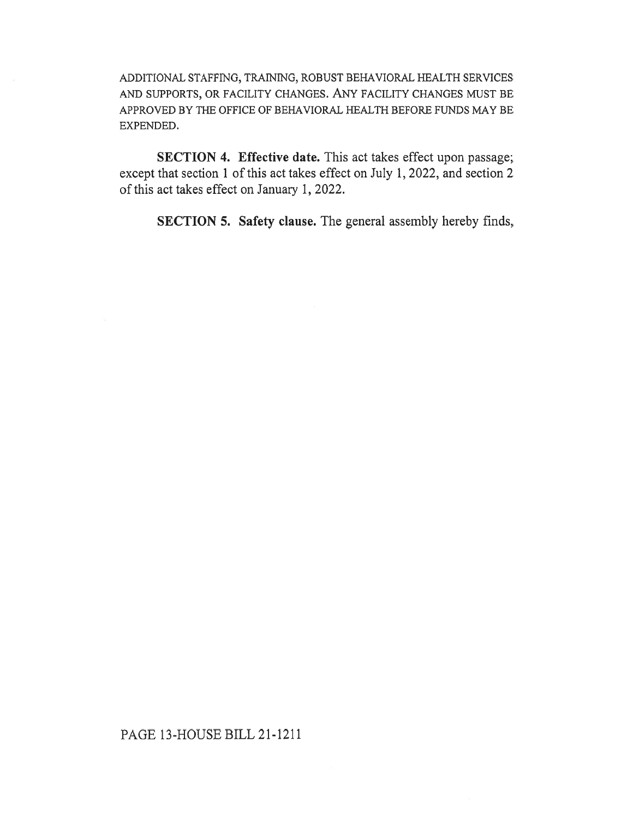ADDITIONAL STAFFING, TRAINING, ROBUST BEHAVIORAL HEALTH SERVICES AND SUPPORTS, OR FACILITY CHANGES. ANY FACILITY CHANGES MUST BE APPROVED BY THE OFFICE OF BEHAVIORAL HEALTH BEFORE FUNDS MAY BE EXPENDED.

SECTION 4. Effective date. This act takes effect upon passage; except that section 1 of this act takes effect on July 1, 2022, and section 2 of this act takes effect on January 1, 2022.

SECTION 5. Safety clause. The general assembly hereby finds,